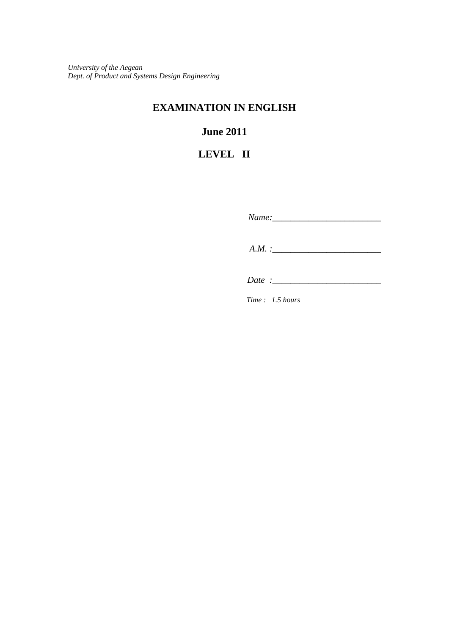*University of the Aegean Dept. of Product and Systems Design Engineering*

## **EXAMINATION IN ENGLISH**

# **June 2011**

# **LEVEL II**

*Name:\_\_\_\_\_\_\_\_\_\_\_\_\_\_\_\_\_\_\_\_\_\_\_\_* 

 *A.M. :\_\_\_\_\_\_\_\_\_\_\_\_\_\_\_\_\_\_\_\_\_\_\_\_* 

*Date* :

*Time : 1.5 hours*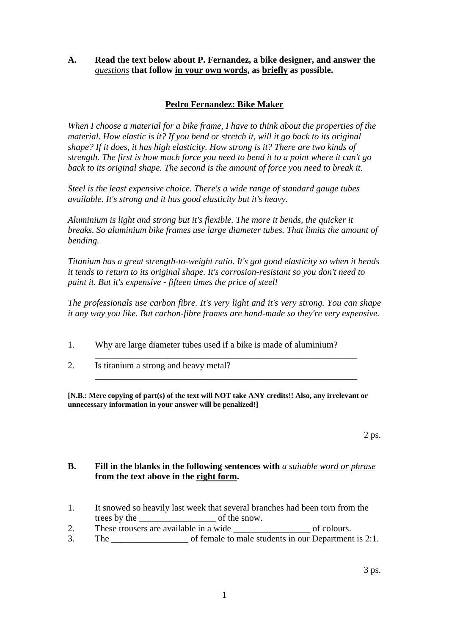## **A. Read the text below about P. Fernandez, a bike designer, and answer the**  *questions* **that follow in your own words, as briefly as possible.**

## **Pedro Fernandez: Bike Maker**

*When I choose a material for a bike frame, I have to think about the properties of the material. How elastic is it? If you bend or stretch it, will it go back to its original shape? If it does, it has high elasticity. How strong is it? There are two kinds of strength. The first is how much force you need to bend it to a point where it can't go*  back to its original shape. The second is the amount of force you need to break it.

*Steel is the least expensive choice. There's a wide range of standard gauge tubes available. It's strong and it has good elasticity but it's heavy.* 

*Aluminium is light and strong but it's flexible. The more it bends, the quicker it breaks. So aluminium bike frames use large diameter tubes. That limits the amount of bending.* 

*Titanium has a great strength-to-weight ratio. It's got good elasticity so when it bends it tends to return to its original shape. It's corrosion-resistant so you don't need to paint it. But it's expensive - fifteen times the price of steel!* 

*The professionals use carbon fibre. It's very light and it's very strong. You can shape it any way you like. But carbon-fibre frames are hand-made so they're very expensive.* 

1. Why are large diameter tubes used if a bike is made of aluminium?

\_\_\_\_\_\_\_\_\_\_\_\_\_\_\_\_\_\_\_\_\_\_\_\_\_\_\_\_\_\_\_\_\_\_\_\_\_\_\_\_\_\_\_\_\_\_\_\_\_\_\_\_\_\_\_\_\_\_

\_\_\_\_\_\_\_\_\_\_\_\_\_\_\_\_\_\_\_\_\_\_\_\_\_\_\_\_\_\_\_\_\_\_\_\_\_\_\_\_\_\_\_\_\_\_\_\_\_\_\_\_\_\_\_\_\_\_

2. Is titanium a strong and heavy metal?

**[N.B.: Mere copying of part(s) of the text will NOT take ANY credits!! Also, any irrelevant or unnecessary information in your answer will be penalized!]**

#### **B. Fill in the blanks in the following sentences with** *a suitable word or phrase* **from the text above in the right form.**

- 1. It snowed so heavily last week that several branches had been torn from the trees by the snow.
- 2. These trousers are available in a wide of colours.
- 3. The of female to male students in our Department is 2:1.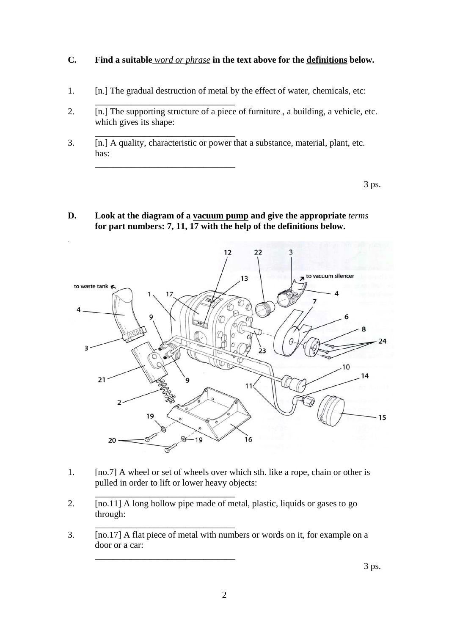## **C. Find a suitable** *word or phrase* **in the text above for the definitions below.**

1. [n.] The gradual destruction of metal by the effect of water, chemicals, etc:

 $\overline{\phantom{a}}$  ,  $\overline{\phantom{a}}$  ,  $\overline{\phantom{a}}$  ,  $\overline{\phantom{a}}$  ,  $\overline{\phantom{a}}$  ,  $\overline{\phantom{a}}$  ,  $\overline{\phantom{a}}$  ,  $\overline{\phantom{a}}$  ,  $\overline{\phantom{a}}$  ,  $\overline{\phantom{a}}$  ,  $\overline{\phantom{a}}$  ,  $\overline{\phantom{a}}$  ,  $\overline{\phantom{a}}$  ,  $\overline{\phantom{a}}$  ,  $\overline{\phantom{a}}$  ,  $\overline{\phantom{a}}$ 

\_\_\_\_\_\_\_\_\_\_\_\_\_\_\_\_\_\_\_\_\_\_\_\_\_\_\_\_\_\_\_

\_\_\_\_\_\_\_\_\_\_\_\_\_\_\_\_\_\_\_\_\_\_\_\_\_\_\_\_\_\_\_

- 2. [n.] The supporting structure of a piece of furniture , a building, a vehicle, etc. which gives its shape:
- 3. [n.] A quality, characteristic or power that a substance, material, plant, etc. has:

**D. Look at the diagram of a vacuum pump and give the appropriate** *terms*  **for part numbers: 7, 11, 17 with the help of the definitions below.** 



- 1. [no.7] A wheel or set of wheels over which sth. like a rope, chain or other is pulled in order to lift or lower heavy objects:
- 2. [no.11] A long hollow pipe made of metal, plastic, liquids or gases to go through:

 $\overline{\phantom{a}}$  ,  $\overline{\phantom{a}}$  ,  $\overline{\phantom{a}}$  ,  $\overline{\phantom{a}}$  ,  $\overline{\phantom{a}}$  ,  $\overline{\phantom{a}}$  ,  $\overline{\phantom{a}}$  ,  $\overline{\phantom{a}}$  ,  $\overline{\phantom{a}}$  ,  $\overline{\phantom{a}}$  ,  $\overline{\phantom{a}}$  ,  $\overline{\phantom{a}}$  ,  $\overline{\phantom{a}}$  ,  $\overline{\phantom{a}}$  ,  $\overline{\phantom{a}}$  ,  $\overline{\phantom{a}}$ 

\_\_\_\_\_\_\_\_\_\_\_\_\_\_\_\_\_\_\_\_\_\_\_\_\_\_\_\_\_\_\_

\_\_\_\_\_\_\_\_\_\_\_\_\_\_\_\_\_\_\_\_\_\_\_\_\_\_\_\_\_\_\_

3. [no.17] A flat piece of metal with numbers or words on it, for example on a door or a car:

3 ps.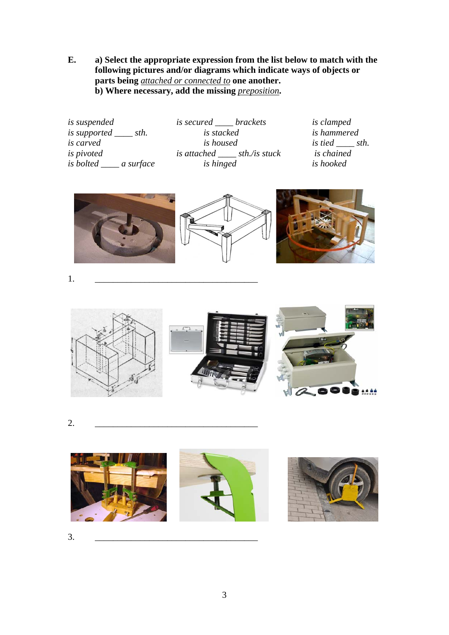**E. a) Select the appropriate expression from the list below to match with the following pictures and/or diagrams which indicate ways of objects or parts being** *attached or connected to* **one another. b**) Where necessary, add the missing *preposition*.

*is suspended is secured \_\_\_\_ brackets is clamped is supported \_\_\_\_ sth. is stacked is hammered is carved is housed is housed is is is tied is pivoted is pivoted is attached sth./is stuck is chained is attached sth./is stuck is bolted \_\_\_\_ a surface is hinged is hooked* 







1. \_\_\_\_\_\_\_\_\_\_\_\_\_\_\_\_\_\_\_\_\_\_\_\_\_\_\_\_\_\_\_\_\_\_\_\_



2. \_\_\_\_\_\_\_\_\_\_\_\_\_\_\_\_\_\_\_\_\_\_\_\_\_\_\_\_\_\_\_\_\_\_\_\_



3. \_\_\_\_\_\_\_\_\_\_\_\_\_\_\_\_\_\_\_\_\_\_\_\_\_\_\_\_\_\_\_\_\_\_\_\_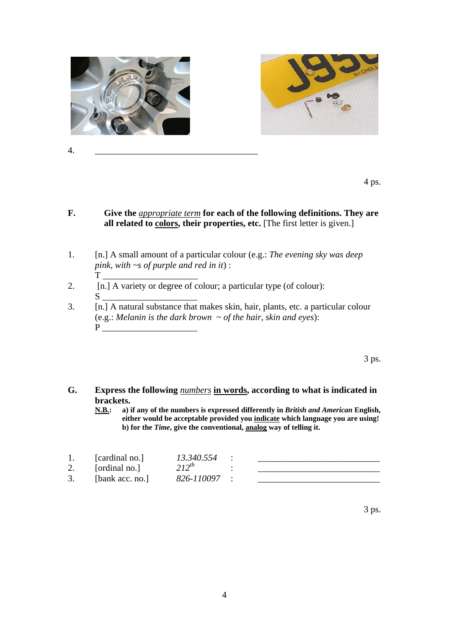

4. \_\_\_\_\_\_\_\_\_\_\_\_\_\_\_\_\_\_\_\_\_\_\_\_\_\_\_\_\_\_\_\_\_\_\_\_



**F. Give the** *appropriate term* **for each of the following definitions. They are**  all related to **colors**, their properties, etc. [The first letter is given.]

 $4 \text{ ps.}$ 

- 1. [n.] A small amount of a particular colour (e.g.: *The evening sky was deep pink, with ~s of purple and red in it*) :  $T$
- 2.  $[n]$  A variety or degree of colour; a particular type (of colour):  $S_\perp$
- 3. [n.] A natural substance that makes skin, hair, plants, etc. a particular colour (e.g.: *Melanin is the dark brown ~ of the hair, skin and eyes*):  $P$

 $3 \text{ ps.}$ 

# **G. Express the following** *numbers* **in words, according to what is indicated in brackets.**<br>**N.B.:** a)

**N.B.: a) if any of the numbers is expressed differently in** *British and American* **English, either would be acceptable provided you indicate which language you are using! b) for the** *Time***, give the conventional, analog way of telling it.** 

| [cardinal no.]  | 13.340.554 |  |
|-----------------|------------|--|
| [ordinal no.]   | $212^{th}$ |  |
| [bank acc. no.] | 826-110097 |  |

 $3 \text{ ps.}$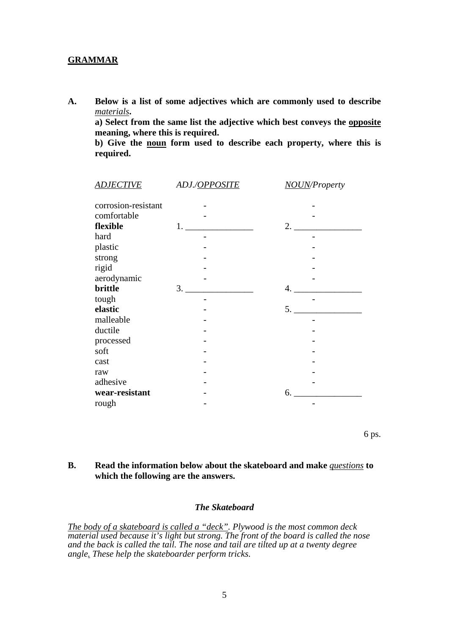#### **GRAMMAR**

**A. Below is a list of some adjectives which are commonly used to describe**  *materials***.** 

 **a) Select from the same list the adjective which best conveys the opposite meaning, where this is required.** 

 **b) Give the noun form used to describe each property, where this is required.** 

| <b>ADJECTIVE</b>    | ADJ./OPPOSITE | <b>NOUN/Property</b> |
|---------------------|---------------|----------------------|
|                     |               |                      |
| corrosion-resistant |               |                      |
| comfortable         |               |                      |
| flexible            | 1.            | 2.                   |
| hard                |               |                      |
| plastic             |               |                      |
| strong              |               |                      |
| rigid               |               |                      |
| aerodynamic         |               |                      |
| brittle             | 3.            | 4.                   |
| tough               |               |                      |
| elastic             |               | 5.                   |
| malleable           |               |                      |
| ductile             |               |                      |
| processed           |               |                      |
| soft                |               |                      |
| cast                |               |                      |
| raw                 |               |                      |
| adhesive            |               |                      |
| wear-resistant      |               | 6.                   |
| rough               |               |                      |

 $6 \text{ ps.}$ 

#### **B. Read the information below about the skateboard and make** *questions* **to which the following are the answers.**

#### *The Skateboard*

*The body of a skateboard is called a "deck". Plywood is the most common deck material used because it's light but strong. The front of the board is called the nose and the back is called the tail. The nose and tail are tilted up at a twenty degree angle. These help the skateboarder perform tricks.*